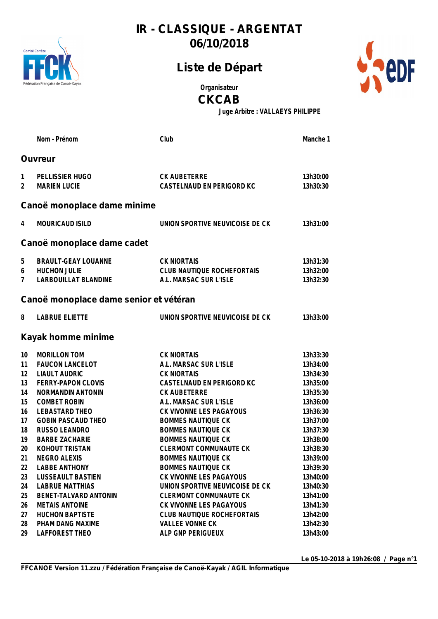

## **Liste de Départ**



**Organisateur**

**CKCAB**

**Juge Arbitre : VALLAEYS PHILIPPE**

|    | Nom - Prénom                           | Club                            | Manche 1 |
|----|----------------------------------------|---------------------------------|----------|
|    |                                        |                                 |          |
|    | <b>Ouvreur</b>                         |                                 |          |
| 1  | PELLISSIER HUGO                        | CK AUBETERRE                    | 13h30:00 |
| 2  | <b>MARIEN LUCIE</b>                    | CASTELNAUD EN PERIGORD KC       | 13h30:30 |
|    |                                        |                                 |          |
|    | Canoë monoplace dame minime            |                                 |          |
| 4  | MOURICAUD ISILD                        | UNION SPORTIVE NEUVICOISE DE CK | 13h31:00 |
|    |                                        |                                 |          |
|    | Canoë monoplace dame cadet             |                                 |          |
| 5  | <b>BRAULT-GEAY LOUANNE</b>             | <b>CK NIORTAIS</b>              | 13h31:30 |
| 6  | HUCHON JULIE                           | CLUB NAUTIQUE ROCHEFORTAIS      | 13h32:00 |
| 7  | LARBOUILLAT BLANDINE                   | A.L. MARSAC SUR L'ISLE          | 13h32:30 |
|    |                                        |                                 |          |
|    | Canoë monoplace dame senior et vétéran |                                 |          |
| 8  | <b>LABRUE ELIETTE</b>                  | UNION SPORTIVE NEUVICOISE DE CK | 13h33:00 |
|    |                                        |                                 |          |
|    | Kayak homme minime                     |                                 |          |
| 10 | MORILLON TOM                           | <b>CK NIORTAIS</b>              | 13h33:30 |
| 11 | <b>FAUCON LANCELOT</b>                 | A.L. MARSAC SUR L'ISLE          | 13h34:00 |
| 12 | <b>LIAULT AUDRIC</b>                   | <b>CK NIORTAIS</b>              | 13h34:30 |
| 13 | FERRY-PAPON CLOVIS                     | CASTELNAUD EN PERIGORD KC       | 13h35:00 |
| 14 | NORMANDIN ANTONIN                      | CK AUBETERRE                    | 13h35:30 |
| 15 | <b>COMBET ROBIN</b>                    | A.L. MARSAC SUR L'ISLE          | 13h36:00 |
| 16 | LEBASTARD THEO                         | CK VIVONNE LES PAGAYOUS         | 13h36:30 |
| 17 | <b>GOBIN PASCAUD THEO</b>              | <b>BOMMES NAUTIQUE CK</b>       | 13h37:00 |
| 18 | RUSSO LEANDRO                          | <b>BOMMES NAUTIQUE CK</b>       | 13h37:30 |
| 19 | <b>BARBE ZACHARIE</b>                  | <b>BOMMES NAUTIQUE CK</b>       | 13h38:00 |
| 20 | KOHOUT TRISTAN                         | <b>CLERMONT COMMUNAUTE CK</b>   | 13h38:30 |
| 21 | <b>NEGRO ALEXIS</b>                    | <b>BOMMES NAUTIQUE CK</b>       | 13h39:00 |
| 22 | <b>LABBE ANTHONY</b>                   | <b>BOMMES NAUTIQUE CK</b>       | 13h39:30 |
| 23 | <b>LUSSEAULT BASTIEN</b>               | CK VIVONNE LES PAGAYOUS         | 13h40:00 |
| 24 | <b>LABRUE MATTHIAS</b>                 | UNION SPORTIVE NEUVICOISE DE CK | 13h40:30 |
| 25 | BENET-TALVARD ANTONIN                  | <b>CLERMONT COMMUNAUTE CK</b>   | 13h41:00 |
| 26 | <b>METAIS ANTOINE</b>                  | CK VIVONNE LES PAGAYOUS         | 13h41:30 |
| 27 | <b>HUCHON BAPTISTE</b>                 | CLUB NAUTIQUE ROCHEFORTAIS      | 13h42:00 |
| 28 | PHAM DANG MAXIME                       | <b>VALLEE VONNE CK</b>          | 13h42:30 |
| 29 | LAFFOREST THEO                         | ALP GNP PERIGUEUX               | 13h43:00 |

**Le 05-10-2018 à 19h26:08 / Page n°1**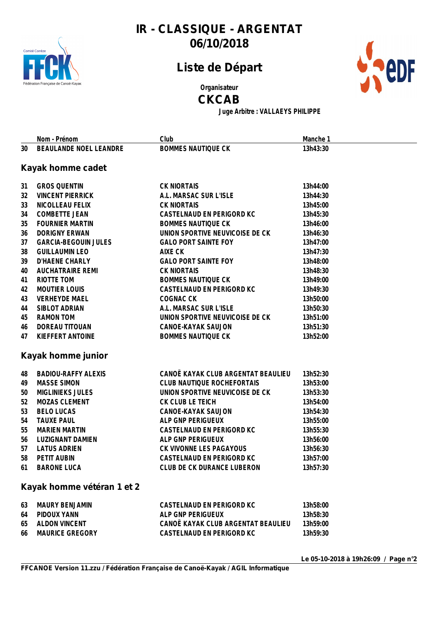

## **Liste de Départ**



**Organisateur**

#### **CKCAB**

**Juge Arbitre : VALLAEYS PHILIPPE**

|    | Nom - Prénom                | Club                               | Manche 1 |
|----|-----------------------------|------------------------------------|----------|
| 30 | BEAULANDE NOEL LEANDRE      | <b>BOMMES NAUTIQUE CK</b>          | 13h43:30 |
|    |                             |                                    |          |
|    | Kayak homme cadet           |                                    |          |
| 31 | <b>GROS QUENTIN</b>         | <b>CK NIORTAIS</b>                 | 13h44:00 |
| 32 | <b>VINCENT PIERRICK</b>     | A.L. MARSAC SUR L'ISLE             | 13h44:30 |
| 33 | NICOLLEAU FELIX             | <b>CK NIORTAIS</b>                 | 13h45:00 |
| 34 | <b>COMBETTE JEAN</b>        | CASTELNAUD EN PERIGORD KC          | 13h45:30 |
| 35 | <b>FOURNIER MARTIN</b>      | <b>BOMMES NAUTIQUE CK</b>          | 13h46:00 |
| 36 | <b>DORIGNY ERWAN</b>        | UNION SPORTIVE NEUVICOISE DE CK    | 13h46:30 |
| 37 | <b>GARCIA-BEGOUIN JULES</b> | <b>GALO PORT SAINTE FOY</b>        | 13h47:00 |
| 38 | <b>GUILLAUMIN LEO</b>       | AIXE CK                            | 13h47:30 |
| 39 | D'HAENE CHARLY              | <b>GALO PORT SAINTE FOY</b>        | 13h48:00 |
| 40 | <b>AUCHATRAIRE REMI</b>     | <b>CK NIORTAIS</b>                 | 13h48:30 |
| 41 | RIOTTE TOM                  | <b>BOMMES NAUTIQUE CK</b>          | 13h49:00 |
| 42 | <b>MOUTIER LOUIS</b>        | CASTELNAUD EN PERIGORD KC          | 13h49:30 |
| 43 | <b>VERHEYDE MAEL</b>        | COGNAC CK                          | 13h50:00 |
| 44 | <b>SIBLOT ADRIAN</b>        | A.L. MARSAC SUR L'ISLE             | 13h50:30 |
| 45 | <b>RAMON TOM</b>            | UNION SPORTIVE NEUVICOISE DE CK    | 13h51:00 |
| 46 | DOREAU TITOUAN              | CANOE-KAYAK SAUJON                 | 13h51:30 |
| 47 | KIEFFERT ANTOINE            | <b>BOMMES NAUTIQUE CK</b>          | 13h52:00 |
|    |                             |                                    |          |
|    | Kayak homme junior          |                                    |          |
| 48 | <b>BADIOU-RAFFY ALEXIS</b>  | CANOË KAYAK CLUB ARGENTAT BEAULIEU | 13h52:30 |
| 49 | <b>MASSE SIMON</b>          | CLUB NAUTIQUE ROCHEFORTAIS         | 13h53:00 |
| 50 | <b>MIGLINIEKS JULES</b>     | UNION SPORTIVE NEUVICOISE DE CK    | 13h53:30 |
| 52 | MOZAS CLEMENT               | CK CLUB LE TEICH                   | 13h54:00 |
| 53 | <b>BELO LUCAS</b>           | CANOE-KAYAK SAUJON                 | 13h54:30 |
| 54 | <b>TAUXE PAUL</b>           | ALP GNP PERIGUEUX                  | 13h55:00 |
| 55 | <b>MARIEN MARTIN</b>        | CASTELNAUD EN PERIGORD KC          | 13h55:30 |
| 56 | <b>LUZIGNANT DAMIEN</b>     | ALP GNP PERIGUEUX                  | 13h56:00 |
| 57 | <b>LATUS ADRIEN</b>         | CK VIVONNE LES PAGAYOUS            | 13h56:30 |
|    | 58 PETIT AUBIN              | CASTELNAUD EN PERIGORD KC          | 13h57:00 |
| 61 | <b>BARONE LUCA</b>          | CLUB DE CK DURANCE LUBERON         | 13h57:30 |
|    | Kayak homme vétéran 1 et 2  |                                    |          |
| 63 | <b>MAURY BENJAMIN</b>       | CASTELNAUD EN PERIGORD KC          | 13h58:00 |
| 64 | PIDOUX YANN                 | ALP GNP PERIGUEUX                  | 13h58:30 |
| 65 | <b>ALDON VINCENT</b>        | CANOË KAYAK CLUB ARGENTAT BEAULIEU | 13h59:00 |
| 66 | <b>MAURICE GREGORY</b>      | CASTELNAUD EN PERIGORD KC          | 13h59:30 |

**Le 05-10-2018 à 19h26:09 / Page n°2**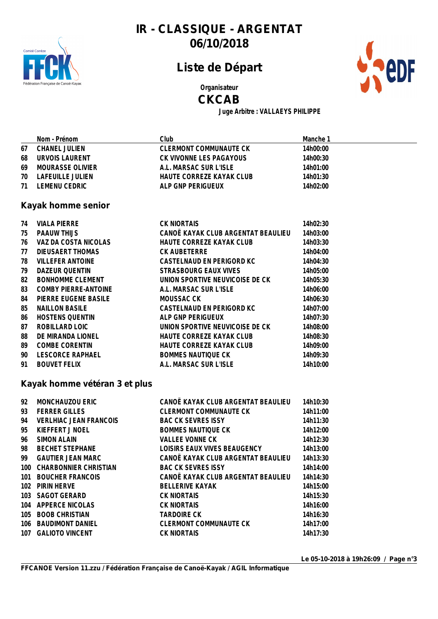

## **Liste de Départ**



**Organisateur**

#### **CKCAB**

**Juge Arbitre : VALLAEYS PHILIPPE**

|    | Nom - Prénom     | Clubl                    | Manche 1 |
|----|------------------|--------------------------|----------|
| 67 | CHANEL JULIEN    | CLERMONT COMMUNAUTE CK   | 14h00:00 |
| 68 | URVOIS LAURENT   | CK VIVONNE LES PAGAYOUS  | 14h00:30 |
| 69 | MOURASSE OLIVIER | A.L. MARSAC SUR L'ISLE   | 14h01:00 |
| 70 | LAFEUILLE JULIEN | HAUTE CORREZE KAYAK CLUB | 14h01:30 |
| 71 | I FMFNU CEDRIC   | ALP GNP PERIGUEUX        | 14h02:00 |
|    |                  |                          |          |

#### **Kayak homme senior**

| 74 | <b>VIALA PIERRE</b>     | <b>CK NIORTAIS</b>                 | 14h02:30 |
|----|-------------------------|------------------------------------|----------|
| 75 | <b>PAAUW THIJS</b>      | CANOË KAYAK CLUB ARGENTAT BEAULIEU | 14h03:00 |
| 76 | VAZ DA COSTA NICOLAS    | HAUTE CORREZE KAYAK CLUB           | 14h03:30 |
| 77 | DIEUSAERT THOMAS        | <b>CK AUBETERRE</b>                | 14h04:00 |
| 78 | <b>VILLEFER ANTOINE</b> | CASTELNAUD EN PERIGORD KC          | 14h04:30 |
| 79 | DAZEUR OUENTIN          | STRASBOURG EAUX VIVES              | 14h05:00 |
| 82 | <b>BONHOMME CLEMENT</b> | UNION SPORTIVE NEUVICOISE DE CK    | 14h05:30 |
| 83 | COMBY PIERRE-ANTOINE    | A.L. MARSAC SUR L'ISLE             | 14h06:00 |
| 84 | PIERRE EUGENE BASILE    | MOUSSAC CK                         | 14h06:30 |
| 85 | <b>NAILLON BASILE</b>   | CASTELNAUD EN PERIGORD KC          | 14h07:00 |
| 86 | <b>HOSTENS QUENTIN</b>  | ALP GNP PERIGUEUX                  | 14h07:30 |
| 87 | ROBILLARD LOIC          | UNION SPORTIVE NEUVICOISE DE CK    | 14h08:00 |
| 88 | DE MIRANDA LIONEL       | HAUTE CORREZE KAYAK CLUB           | 14h08:30 |
| 89 | <b>COMBE CORENTIN</b>   | HAUTE CORREZE KAYAK CLUB           | 14h09:00 |
| 90 | LESCORCE RAPHAEL        | <b>BOMMES NAUTIQUE CK</b>          | 14h09:30 |
| 91 | <b>BOUVET FELIX</b>     | A.L. MARSAC SUR L'ISLE             | 14h10:00 |

#### **Kayak homme vétéran 3 et plus**

| 92 | <b>MONCHAUZOU ERIC</b>    | CANOË KAYAK CLUB ARGENTAT BEAULIEU | 14h10:30 |
|----|---------------------------|------------------------------------|----------|
| 93 | <b>FERRER GILLES</b>      | CLERMONT COMMUNAUTE CK             | 14h11:00 |
| 94 | VERLHIAC JEAN FRANCOIS    | <b>BAC CK SEVRES ISSY</b>          | 14h11:30 |
| 95 | KIEFFERT J NOEL           | BOMMES NAUTIQUE CK                 | 14h12:00 |
| 96 | SIMON ALAIN               | <b>VALLEE VONNE CK</b>             | 14h12:30 |
| 98 | BECHET STEPHANE           | LOISIRS EAUX VIVES BEAUGENCY       | 14h13:00 |
| 99 | <b>GAUTIER JEAN MARC</b>  | CANOË KAYAK CLUB ARGENTAT BEAULIEU | 14h13:30 |
|    | 100 CHARBONNIER CHRISTIAN | BAC CK SEVRES ISSY                 | 14h14:00 |
|    | 101 BOUCHER FRANCOIS      | CANOË KAYAK CLUB ARGENTAT BEAULIEU | 14h14:30 |
|    | 102 PIRIN HERVE           | <b>BELLERIVE KAYAK</b>             | 14h15:00 |
|    | 103 SAGOT GERARD          | <b>CK NIORTAIS</b>                 | 14h15:30 |
|    | 104 APPERCE NICOLAS       | <b>CK NIORTAIS</b>                 | 14h16:00 |
|    | 105 BOOB CHRISTIAN        | TARDOIRE CK                        | 14h16:30 |
|    | 106 BAUDIMONT DANIEL      | CLERMONT COMMUNAUTE CK             | 14h17:00 |
|    | 107 GALIOTO VINCENT       | <b>CK NIORTAIS</b>                 | 14h17:30 |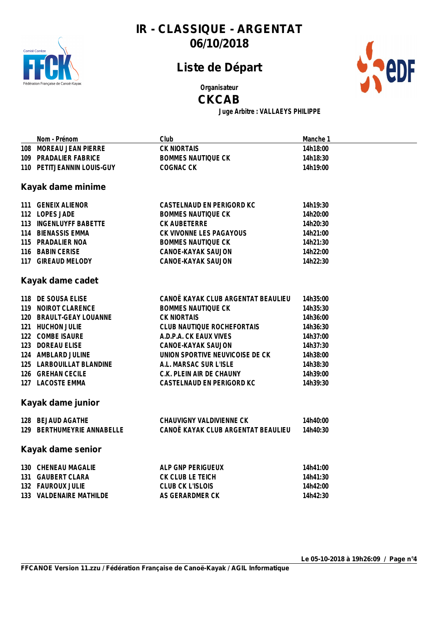

# **Liste de Départ**



**Organisateur**

#### **CKCAB**

**Juge Arbitre : VALLAEYS PHILIPPE**

| Nom - Prénom               | Club                               | Manche 1 |
|----------------------------|------------------------------------|----------|
| 108 MOREAU JEAN PIERRE     | <b>CK NIORTAIS</b>                 | 14h18:00 |
| 109 PRADALIER FABRICE      | <b>BOMMES NAUTIQUE CK</b>          | 14h18:30 |
| 110 PETITJEANNIN LOUIS-GUY | COGNAC CK                          | 14h19:00 |
| Kayak dame minime          |                                    |          |
| 111 GENEIX ALIENOR         | CASTELNAUD EN PERIGORD KC          | 14h19:30 |
| 112 LOPES JADE             | <b>BOMMES NAUTIQUE CK</b>          | 14h20:00 |
| 113 INGENLUYFF BABETTE     | CK AUBETERRE                       | 14h20:30 |
| 114 BIENASSIS EMMA         | CK VIVONNE LES PAGAYOUS            | 14h21:00 |
| 115 PRADALIER NOA          | <b>BOMMES NAUTIQUE CK</b>          | 14h21:30 |
| 116 BABIN CERISE           | CANOE-KAYAK SAUJON                 | 14h22:00 |
| 117 GIREAUD MELODY         | CANOE-KAYAK SAUJON                 | 14h22:30 |
| Kayak dame cadet           |                                    |          |
| 118 DE SOUSA ELISE         | CANOË KAYAK CLUB ARGENTAT BEAULIEU | 14h35:00 |
| 119 NOIROT CLARENCE        | <b>BOMMES NAUTIQUE CK</b>          | 14h35:30 |
| 120 BRAULT-GEAY LOUANNE    | <b>CK NIORTAIS</b>                 | 14h36:00 |
| 121 HUCHON JULIE           | CLUB NAUTIQUE ROCHEFORTAIS         | 14h36:30 |
| 122 COMBE ISAURE           | A.D.P.A. CK EAUX VIVES             | 14h37:00 |
| 123 DOREAU ELISE           | CANOE-KAYAK SAUJON                 | 14h37:30 |
| 124 AMBLARD JULINE         | UNION SPORTIVE NEUVICOISE DE CK    | 14h38:00 |
| 125 LARBOUILLAT BLANDINE   | A.L. MARSAC SUR L'ISLE             | 14h38:30 |
| 126 GREHAN CECILE          | C.K. PLEIN AIR DE CHAUNY           | 14h39:00 |
| 127 LACOSTE EMMA           | CASTELNAUD EN PERIGORD KC          | 14h39:30 |
| Kayak dame junior          |                                    |          |
| 128 BEJAUD AGATHE          | CHAUVIGNY VALDIVIENNE CK           | 14h40:00 |
| 129 BERTHUMEYRIE ANNABELLE | CANOË KAYAK CLUB ARGENTAT BEAULIEU | 14h40:30 |
| Kayak dame senior          |                                    |          |
| 130 CHENEAU MAGALIE        | ALP GNP PERIGUEUX                  | 14h41:00 |
| 131 GAUBERT CLARA          | CK CLUB LE TEICH                   | 14h41:30 |
| 132 FAUROUX JULIE          | CLUB CK L'ISLOIS                   | 14h42:00 |
| 133 VALDENAIRE MATHILDE    | AS GERARDMER CK                    | 14h42:30 |
|                            |                                    |          |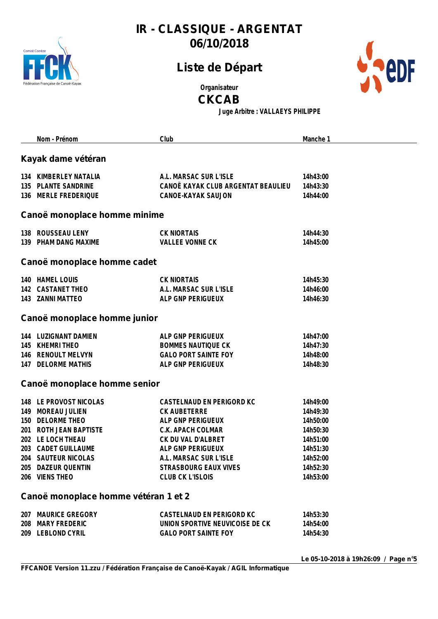

## **Liste de Départ**



**Organisateur**

**CKCAB**

**Juge Arbitre : VALLAEYS PHILIPPE**

|     | Nom - Prénom                                                                                                                                                                                                                                    | Club                                                                                                                                                                                                  | Manche 1                                                                                                 |  |  |  |
|-----|-------------------------------------------------------------------------------------------------------------------------------------------------------------------------------------------------------------------------------------------------|-------------------------------------------------------------------------------------------------------------------------------------------------------------------------------------------------------|----------------------------------------------------------------------------------------------------------|--|--|--|
|     | Kayak dame vétéran                                                                                                                                                                                                                              |                                                                                                                                                                                                       |                                                                                                          |  |  |  |
|     | 134 KIMBERLEY NATALIA<br>135 PLANTE SANDRINE<br>136 MERLE FREDERIQUE                                                                                                                                                                            | A.L. MARSAC SUR L'ISLE<br>CANOË KAYAK CLUB ARGENTAT BEAULIEU<br>CANOE-KAYAK SAUJON                                                                                                                    | 14h43:00<br>14h43:30<br>14h44:00                                                                         |  |  |  |
|     | Canoë monoplace homme minime                                                                                                                                                                                                                    |                                                                                                                                                                                                       |                                                                                                          |  |  |  |
|     | 138 ROUSSEAU LENY<br>139 PHAM DANG MAXIME                                                                                                                                                                                                       | <b>CK NIORTAIS</b><br><b>VALLEE VONNE CK</b>                                                                                                                                                          | 14h44:30<br>14h45:00                                                                                     |  |  |  |
|     | Canoë monoplace homme cadet                                                                                                                                                                                                                     |                                                                                                                                                                                                       |                                                                                                          |  |  |  |
|     | 140 HAMEL LOUIS<br>142 CASTANET THEO<br>143 ZANNI MATTEO                                                                                                                                                                                        | <b>CK NIORTAIS</b><br>A.L. MARSAC SUR L'ISLE<br>ALP GNP PERIGUEUX                                                                                                                                     | 14h45:30<br>14h46:00<br>14h46:30                                                                         |  |  |  |
|     | Canoë monoplace homme junior                                                                                                                                                                                                                    |                                                                                                                                                                                                       |                                                                                                          |  |  |  |
|     | 144 LUZIGNANT DAMIEN<br>145 KHEMRI THEO<br>146 RENOULT MELVYN<br>147 DELORME MATHIS                                                                                                                                                             | ALP GNP PERIGUEUX<br><b>BOMMES NAUTIQUE CK</b><br><b>GALO PORT SAINTE FOY</b><br>ALP GNP PERIGUEUX                                                                                                    | 14h47:00<br>14h47:30<br>14h48:00<br>14h48:30                                                             |  |  |  |
|     | Canoë monoplace homme senior                                                                                                                                                                                                                    |                                                                                                                                                                                                       |                                                                                                          |  |  |  |
| 203 | 148 LE PROVOST NICOLAS<br>149 MOREAU JULIEN<br>150 DELORME THEO<br>201 ROTH JEAN BAPTISTE<br>202 LE LOCH THEAU<br><b>CADET GUILLAUME</b><br>204 SAUTEUR NICOLAS<br>205 DAZEUR QUENTIN<br>206 VIENS THEO<br>Canoë monoplace homme vétéran 1 et 2 | CASTELNAUD EN PERIGORD KC<br>CK AUBETERRE<br>ALP GNP PERIGUEUX<br>C.K. APACH COLMAR<br>CK DU VAL D'ALBRET<br>ALP GNP PERIGUEUX<br>A.I. MARSAC SUR L'ISLE<br>STRASBOURG EAUX VIVES<br>CLUB CK L'ISLOIS | 14h49:00<br>14h49:30<br>14h50:00<br>14h50:30<br>14h51:00<br>14h51:30<br>14h52:00<br>14h52:30<br>14h53:00 |  |  |  |
|     | 207 MAURICE GREGORY<br>208 MARY FREDERIC<br>209 LEBLOND CYRIL                                                                                                                                                                                   | CASTELNAUD EN PERIGORD KC<br>UNION SPORTIVE NEUVICOISE DE CK<br><b>GALO PORT SAINTE FOY</b>                                                                                                           | 14h53:30<br>14h54:00<br>14h54:30                                                                         |  |  |  |

**Le 05-10-2018 à 19h26:09 / Page n°5**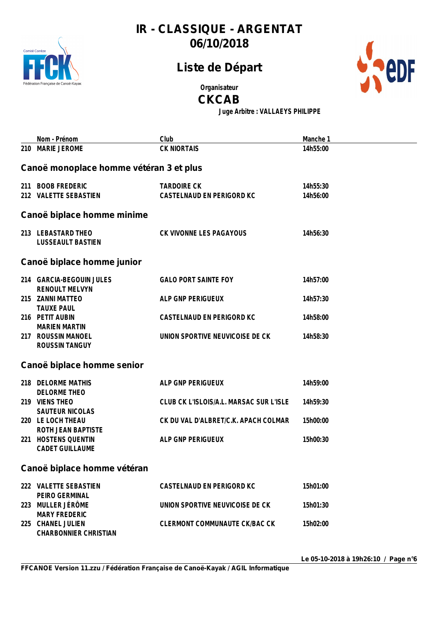

## **Liste de Départ**



**Organisateur**

**CKCAB**

**Juge Arbitre : VALLAEYS PHILIPPE**

| Nom - Prénom                                                              | Club                                            | Manche 1             |  |  |  |
|---------------------------------------------------------------------------|-------------------------------------------------|----------------------|--|--|--|
| 210 MARIE JEROME                                                          | <b>CK NIORTAIS</b>                              | 14h55:00             |  |  |  |
| Canoë monoplace homme vétéran 3 et plus                                   |                                                 |                      |  |  |  |
| 211 BOOB FREDERIC<br>212 VALETTE SEBASTIEN                                | <b>TARDOIRE CK</b><br>CASTELNAUD EN PERIGORD KC | 14h55:30<br>14h56:00 |  |  |  |
| Canoë biplace homme minime                                                |                                                 |                      |  |  |  |
| 213 LEBASTARD THEO<br><b>LUSSEAULT BASTIEN</b>                            | CK VIVONNE LES PAGAYOUS                         | 14h56:30             |  |  |  |
| Canoë biplace homme junior                                                |                                                 |                      |  |  |  |
| 214 GARCIA-BEGOUIN JULES<br><b>RENOULT MELVYN</b>                         | <b>GALO PORT SAINTE FOY</b>                     | 14h57:00             |  |  |  |
| 215 ZANNI MATTEO<br><b>TAUXE PAUL</b>                                     | ALP GNP PERIGUEUX                               | 14h57:30             |  |  |  |
| 216 PETIT AUBIN<br><b>MARIEN MARTIN</b>                                   | CASTELNAUD EN PERIGORD KC                       | 14h58:00             |  |  |  |
| 217 ROUSSIN MANOEL<br><b>ROUSSIN TANGUY</b>                               | UNION SPORTIVE NEUVICOISE DE CK                 | 14h58:30             |  |  |  |
| Canoë biplace homme senior                                                |                                                 |                      |  |  |  |
| 218 DELORME MATHIS                                                        | ALP GNP PERIGUEUX                               | 14h59:00             |  |  |  |
| DELORME THEO<br>219 VIENS THEO<br>SAUTEUR NICOLAS                         | CLUB CK L'ISLOIS/A.L. MARSAC SUR L'ISLE         | 14h59:30             |  |  |  |
| 220 LE LOCH THEAU<br>ROTH JEAN BAPTISTE                                   | CK DU VAL D'ALBRET/C.K. APACH COLMAR            | 15h00:00             |  |  |  |
| 221 HOSTENS QUENTIN<br><b>CADET GUILLAUME</b>                             | ALP GNP PERIGUEUX                               | 15h00:30             |  |  |  |
| Canoë biplace homme vétéran                                               |                                                 |                      |  |  |  |
| 222 VALETTE SEBASTIEN<br>PEIRO GERMINAL                                   | CASTELNAUD EN PERIGORD KC                       | 15h01:00             |  |  |  |
| 223 MULLER JÉRÔME                                                         | UNION SPORTIVE NEUVICOISE DE CK                 | 15h01:30             |  |  |  |
| <b>MARY FREDERIC</b><br>225 CHANEL JULIEN<br><b>CHARBONNIER CHRISTIAN</b> | CLERMONT COMMUNAUTE CK/BAC CK                   | 15h02:00             |  |  |  |

**Le 05-10-2018 à 19h26:10 / Page n°6**